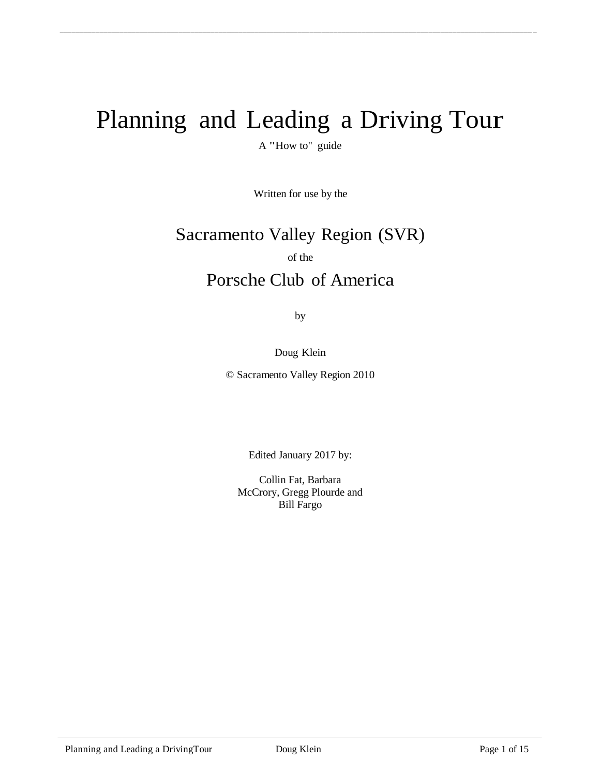# Planning and Leading a Driving Tour

\_\_\_\_\_\_\_\_\_\_\_\_\_\_\_\_\_\_\_\_\_\_\_\_\_\_\_\_\_\_\_\_\_\_\_\_\_\_\_\_\_\_\_\_\_\_\_\_\_\_\_\_\_\_\_\_\_\_\_\_\_\_\_\_\_\_\_\_\_\_\_\_\_\_\_\_\_\_\_\_\_\_\_\_\_\_\_\_\_\_\_\_\_\_\_\_\_\_\_\_\_\_\_\_\_\_\_\_\_\_\_\_\_\_\_\_\_\_\_ \_

A "How to" guide

Written for use by the

# Sacramento Valley Region (SVR)

of the

# Porsche Club of America

by

Doug Klein

© Sacramento Valley Region 2010

Edited January 2017 by:

Collin Fat, Barbara McCrory, Gregg Plourde and Bill Fargo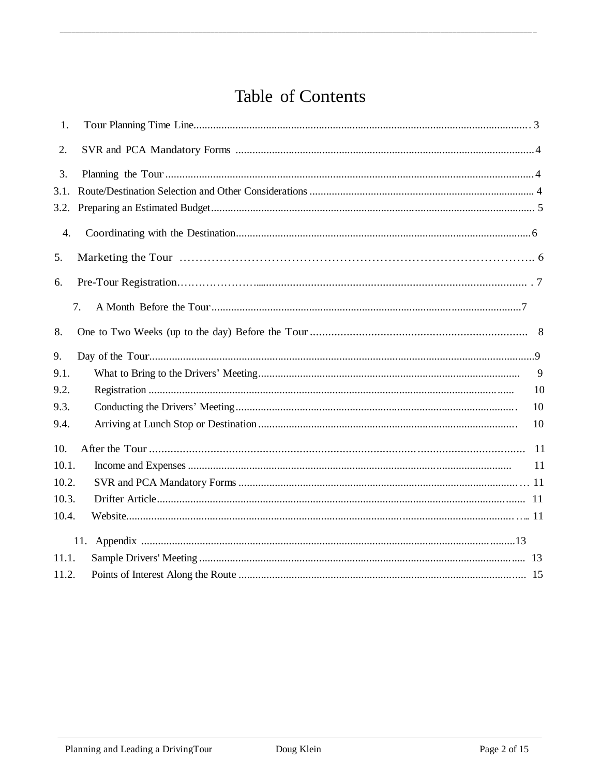# Table of Contents

| 1.    |     |    |
|-------|-----|----|
| 2.    |     |    |
| 3.    |     |    |
| 3.1.  |     |    |
| 3.2.  |     |    |
| 4.    |     |    |
| 5.    |     |    |
| 6.    |     |    |
|       | 7.  |    |
| 8.    |     |    |
| 9.    |     |    |
| 9.1.  |     | 9  |
| 9.2.  |     | 10 |
| 9.3.  |     | 10 |
| 9.4.  |     | 10 |
| 10.   | -11 |    |
| 10.1. |     | 11 |
| 10.2. |     |    |
| 10.3. |     |    |
| 10.4. |     |    |
|       |     |    |
| 11.1. |     |    |
| 11.2. |     |    |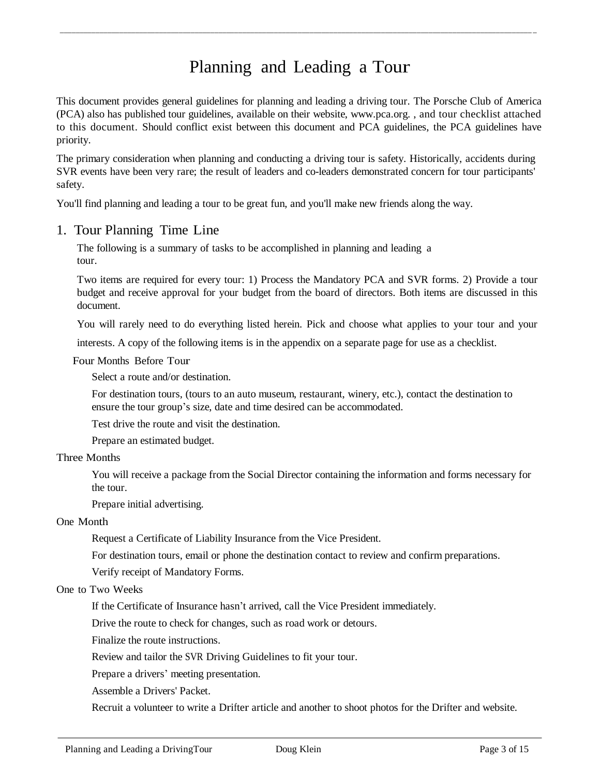# Planning and Leading a Tour

\_\_\_\_\_\_\_\_\_\_\_\_\_\_\_\_\_\_\_\_\_\_\_\_\_\_\_\_\_\_\_\_\_\_\_\_\_\_\_\_\_\_\_\_\_\_\_\_\_\_\_\_\_\_\_\_\_\_\_\_\_\_\_\_\_\_\_\_\_\_\_\_\_\_\_\_\_\_\_\_\_\_\_\_\_\_\_\_\_\_\_\_\_\_\_\_\_\_\_\_\_\_\_\_\_\_\_\_\_\_\_\_\_\_\_\_\_\_\_ \_

This document provides general guidelines for planning and leading a driving tour. The Porsche Club of America (PCA) also has published tour guidelines, available on their website, [www.pca.org.](http://www.pca.org/) , and tour checklist attached to this document. Should conflict exist between this document and PCA guidelines, the PCA guidelines have priority.

The primary consideration when planning and conducting a driving tour is safety. Historically, accidents during SVR events have been very rare; the result of leaders and co-leaders demonstrated concern for tour participants' safety.

You'll find planning and leading a tour to be great fun, and you'll make new friends along the way.

#### 1. Tour Planning Time Line

The following is a summary of tasks to be accomplished in planning and leading a tour.

Two items are required for every tour: 1) Process the Mandatory PCA and SVR forms. 2) Provide a tour budget and receive approval for your budget from the board of directors. Both items are discussed in this document.

You will rarely need to do everything listed herein. Pick and choose what applies to your tour and your

interests. A copy of the following items is in the appendix on a separate page for use as a checklist.

Four Months Before Tour

Select a route and/or destination.

For destination tours, (tours to an auto museum, restaurant, winery, etc.), contact the destination to ensure the tour group's size, date and time desired can be accommodated.

Test drive the route and visit the destination.

Prepare an estimated budget.

#### Three Months

You will receive a package from the Social Director containing the information and forms necessary for the tour.

Prepare initial advertising.

#### One Month

Request a Certificate of Liability Insurance from the Vice President.

For destination tours, email or phone the destination contact to review and confirm preparations.

Verify receipt of Mandatory Forms.

#### One to Two Weeks

If the Certificate of Insurance hasn't arrived, call the Vice President immediately.

Drive the route to check for changes, such as road work or detours.

Finalize the route instructions.

Review and tailor the SVR Driving Guidelines to fit your tour.

Prepare a drivers' meeting presentation.

Assemble a Drivers' Packet.

Recruit a volunteer to write a Drifter article and another to shoot photos for the Drifter and website.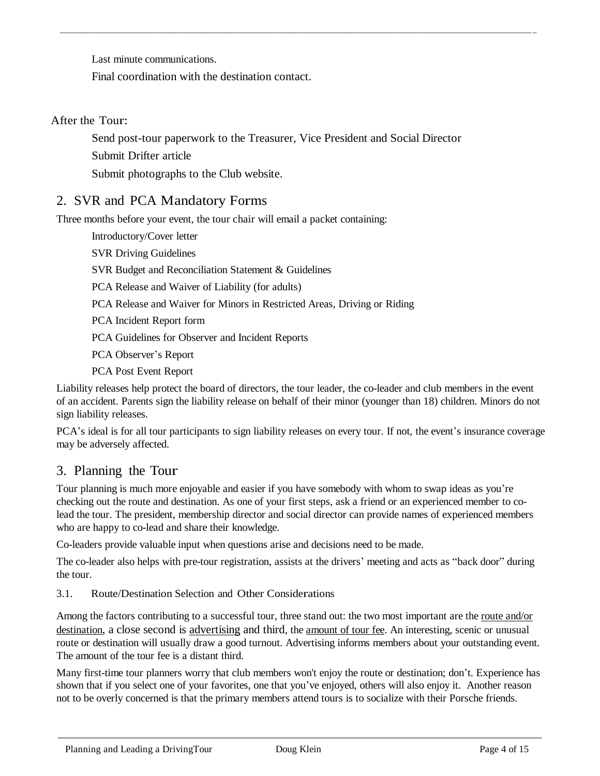Last minute communications.

Final coordination with the destination contact.

After the Tour:

Send post-tour paperwork to the Treasurer, Vice President and Social Director

\_\_\_\_\_\_\_\_\_\_\_\_\_\_\_\_\_\_\_\_\_\_\_\_\_\_\_\_\_\_\_\_\_\_\_\_\_\_\_\_\_\_\_\_\_\_\_\_\_\_\_\_\_\_\_\_\_\_\_\_\_\_\_\_\_\_\_\_\_\_\_\_\_\_\_\_\_\_\_\_\_\_\_\_\_\_\_\_\_\_\_\_\_\_\_\_\_\_\_\_\_\_\_\_\_\_\_\_\_\_\_\_\_\_\_\_\_\_\_ \_

Submit Drifter article

Submit photographs to the Club website.

## 2. SVR and PCA Mandatory Forms

Three months before your event, the tour chair will email a packet containing:

Introductory/Cover letter

SVR Driving Guidelines

SVR Budget and Reconciliation Statement & Guidelines

PCA Release and Waiver of Liability (for adults)

PCA Release and Waiver for Minors in Restricted Areas, Driving or Riding

PCA Incident Report form

PCA Guidelines for Observer and Incident Reports

PCA Observer's Report

PCA Post Event Report

Liability releases help protect the board of directors, the tour leader, the co-leader and club members in the event of an accident. Parents sign the liability release on behalf of their minor (younger than 18) children. Minors do not sign liability releases.

PCA's ideal is for all tour participants to sign liability releases on every tour. If not, the event's insurance coverage may be adversely affected.

## 3. Planning the Tour

Tour planning is much more enjoyable and easier if you have somebody with whom to swap ideas as you're checking out the route and destination. As one of your first steps, ask a friend or an experienced member to colead the tour. The president, membership director and social director can provide names of experienced members who are happy to co-lead and share their knowledge.

Co-leaders provide valuable input when questions arise and decisions need to be made.

The co-leader also helps with pre-tour registration, assists at the drivers' meeting and acts as "back door" during the tour.

3.1. Route/Destination Selection and Other Considerations

Among the factors contributing to a successful tour, three stand out: the two most important are the route and/or destination, a close second is advertising and third, the amount of tour fee. An interesting, scenic or unusual route or destination will usually draw a good turnout. Advertising informs members about your outstanding event. The amount of the tour fee is a distant third.

Many first-time tour planners worry that club members won't enjoy the route or destination; don't. Experience has shown that if you select one of your favorites, one that you've enjoyed, others will also enjoy it. Another reason not to be overly concerned is that the primary members attend tours is to socialize with their Porsche friends.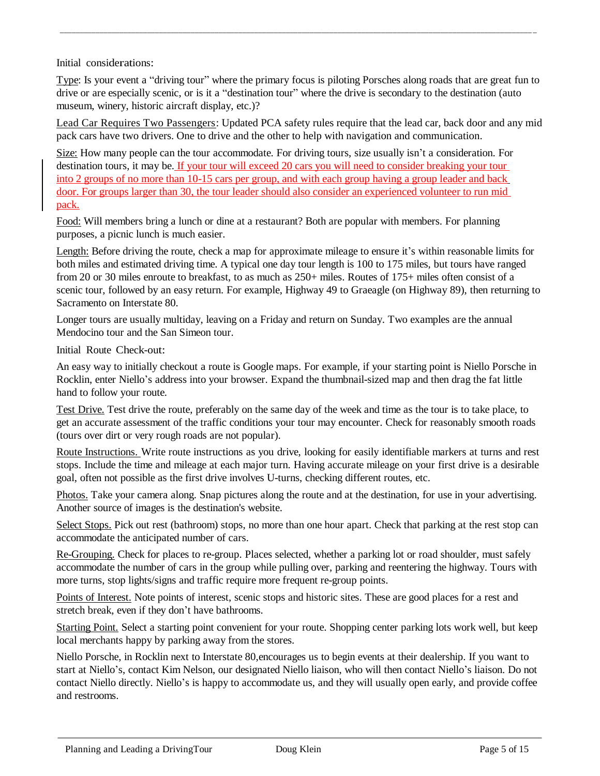Initial considerations:

Type: Is your event a "driving tour" where the primary focus is piloting Porsches along roads that are great fun to drive or are especially scenic, or is it a "destination tour" where the drive is secondary to the destination (auto museum, winery, historic aircraft display, etc.)?

\_\_\_\_\_\_\_\_\_\_\_\_\_\_\_\_\_\_\_\_\_\_\_\_\_\_\_\_\_\_\_\_\_\_\_\_\_\_\_\_\_\_\_\_\_\_\_\_\_\_\_\_\_\_\_\_\_\_\_\_\_\_\_\_\_\_\_\_\_\_\_\_\_\_\_\_\_\_\_\_\_\_\_\_\_\_\_\_\_\_\_\_\_\_\_\_\_\_\_\_\_\_\_\_\_\_\_\_\_\_\_\_\_\_\_\_\_\_\_ \_

Lead Car Requires Two Passengers: Updated PCA safety rules require that the lead car, back door and any mid pack cars have two drivers. One to drive and the other to help with navigation and communication.

Size: How many people can the tour accommodate. For driving tours, size usually isn't a consideration. For destination tours, it may be. If your tour will exceed 20 cars you will need to consider breaking your tour into 2 groups of no more than 10-15 cars per group, and with each group having a group leader and back door. For groups larger than 30, the tour leader should also consider an experienced volunteer to run mid pack.

Food: Will members bring a lunch or dine at a restaurant? Both are popular with members. For planning purposes, a picnic lunch is much easier.

Length: Before driving the route, check a map for approximate mileage to ensure it's within reasonable limits for both miles and estimated driving time. A typical one day tour length is 100 to 175 miles, but tours have ranged from 20 or 30 miles enroute to breakfast, to as much as  $250+$  miles. Routes of 175+ miles often consist of a scenic tour, followed by an easy return. For example, Highway 49 to Graeagle (on Highway 89), then returning to Sacramento on Interstate 80.

Longer tours are usually multiday, leaving on a Friday and return on Sunday. Two examples are the annual Mendocino tour and the San Simeon tour.

Initial Route Check-out:

An easy way to initially checkout a route is Google maps. For example, if your starting point is Niello Porsche in Rocklin, enter Niello's address into your browser. Expand the thumbnail-sized map and then drag the fat little hand to follow your route.

Test Drive. Test drive the route, preferably on the same day of the week and time as the tour is to take place, to get an accurate assessment of the traffic conditions your tour may encounter. Check for reasonably smooth roads (tours over dirt or very rough roads are not popular).

Route Instructions. Write route instructions as you drive, looking for easily identifiable markers at turns and rest stops. Include the time and mileage at each major turn. Having accurate mileage on your first drive is a desirable goal, often not possible as the first drive involves U-turns, checking different routes, etc.

Photos. Take your camera along. Snap pictures along the route and at the destination, for use in your advertising. Another source of images is the destination's website.

Select Stops. Pick out rest (bathroom) stops, no more than one hour apart. Check that parking at the rest stop can accommodate the anticipated number of cars.

Re-Grouping. Check for places to re-group. Places selected, whether a parking lot or road shoulder, must safely accommodate the number of cars in the group while pulling over, parking and reentering the highway. Tours with more turns, stop lights/signs and traffic require more frequent re-group points.

Points of Interest. Note points of interest, scenic stops and historic sites. These are good places for a rest and stretch break, even if they don't have bathrooms.

Starting Point. Select a starting point convenient for your route. Shopping center parking lots work well, but keep local merchants happy by parking away from the stores.

Niello Porsche, in Rocklin next to Interstate 80,encourages us to begin events at their dealership. If you want to start at Niello's, contact Kim Nelson, our designated Niello liaison, who will then contact Niello's liaison. Do not contact Niello directly. Niello's is happy to accommodate us, and they will usually open early, and provide coffee and restrooms.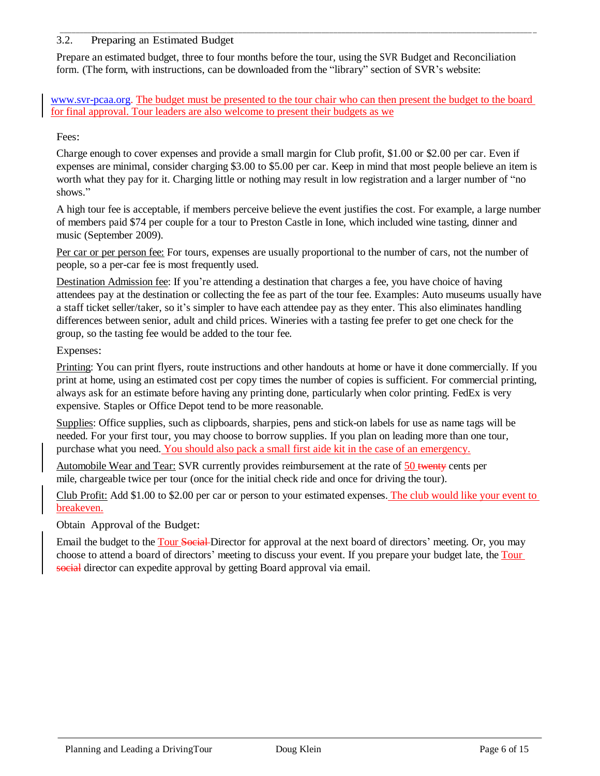#### 3.2. Preparing an Estimated Budget

Prepare an estimated budget, three to four months before the tour, using the SVR Budget and Reconciliation form. (The form, with instructions, can be downloaded from the "library" section of SVR's website:

\_\_\_\_\_\_\_\_\_\_\_\_\_\_\_\_\_\_\_\_\_\_\_\_\_\_\_\_\_\_\_\_\_\_\_\_\_\_\_\_\_\_\_\_\_\_\_\_\_\_\_\_\_\_\_\_\_\_\_\_\_\_\_\_\_\_\_\_\_\_\_\_\_\_\_\_\_\_\_\_\_\_\_\_\_\_\_\_\_\_\_\_\_\_\_\_\_\_\_\_\_\_\_\_\_\_\_\_\_\_\_\_\_\_\_\_\_\_\_ \_

[www.svr-pcaa.org.](http://www.svr-pcaa.org/) The budget must be presented to the tour chair who can then present the budget to the board for final approval. Tour leaders are also welcome to present their budgets as we

#### Fees:

Charge enough to cover expenses and provide a small margin for Club profit, \$1.00 or \$2.00 per car. Even if expenses are minimal, consider charging \$3.00 to \$5.00 per car. Keep in mind that most people believe an item is worth what they pay for it. Charging little or nothing may result in low registration and a larger number of "no shows."

A high tour fee is acceptable, if members perceive believe the event justifies the cost. For example, a large number of members paid \$74 per couple for a tour to Preston Castle in Ione, which included wine tasting, dinner and music (September 2009).

Per car or per person fee: For tours, expenses are usually proportional to the number of cars, not the number of people, so a per-car fee is most frequently used.

Destination Admission fee: If you're attending a destination that charges a fee, you have choice of having attendees pay at the destination or collecting the fee as part of the tour fee. Examples: Auto museums usually have a staff ticket seller/taker, so it's simpler to have each attendee pay as they enter. This also eliminates handling differences between senior, adult and child prices. Wineries with a tasting fee prefer to get one check for the group, so the tasting fee would be added to the tour fee.

#### Expenses:

Printing: You can print flyers, route instructions and other handouts at home or have it done commercially. If you print at home, using an estimated cost per copy times the number of copies is sufficient. For commercial printing, always ask for an estimate before having any printing done, particularly when color printing. FedEx is very expensive. Staples or Office Depot tend to be more reasonable.

Supplies: Office supplies, such as clipboards, sharpies, pens and stick-on labels for use as name tags will be needed. For your first tour, you may choose to borrow supplies. If you plan on leading more than one tour, purchase what you need. You should also pack a small first aide kit in the case of an emergency.

Automobile Wear and Tear: SVR currently provides reimbursement at the rate of 50 twenty cents per mile, chargeable twice per tour (once for the initial check ride and once for driving the tour).

Club Profit: Add \$1.00 to \$2.00 per car or person to your estimated expenses. The club would like your event to breakeven.

Obtain Approval of the Budget:

Email the budget to the Tour Social Director for approval at the next board of directors' meeting. Or, you may choose to attend a board of directors' meeting to discuss your event. If you prepare your budget late, the Tour social director can expedite approval by getting Board approval via email.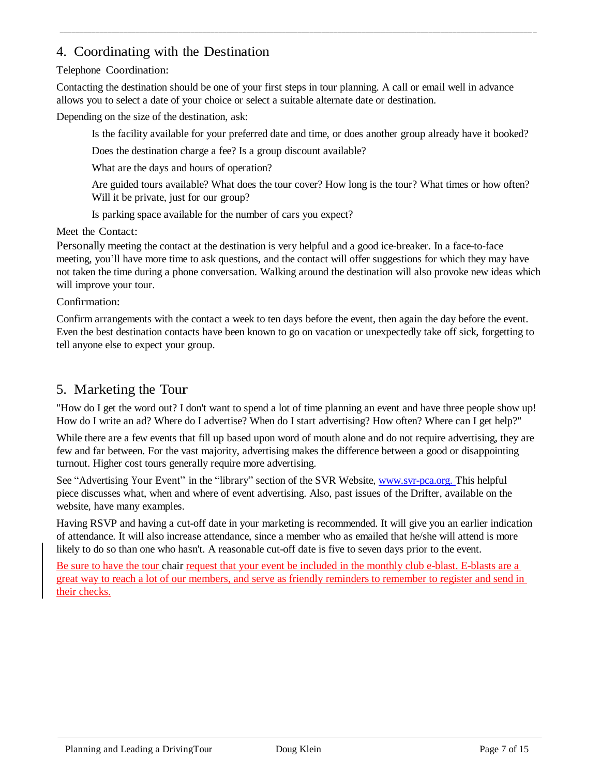## 4. Coordinating with the Destination

#### Telephone Coordination:

Contacting the destination should be one of your first steps in tour planning. A call or email well in advance allows you to select a date of your choice or select a suitable alternate date or destination.

\_\_\_\_\_\_\_\_\_\_\_\_\_\_\_\_\_\_\_\_\_\_\_\_\_\_\_\_\_\_\_\_\_\_\_\_\_\_\_\_\_\_\_\_\_\_\_\_\_\_\_\_\_\_\_\_\_\_\_\_\_\_\_\_\_\_\_\_\_\_\_\_\_\_\_\_\_\_\_\_\_\_\_\_\_\_\_\_\_\_\_\_\_\_\_\_\_\_\_\_\_\_\_\_\_\_\_\_\_\_\_\_\_\_\_\_\_\_\_ \_

Depending on the size of the destination, ask:

Is the facility available for your preferred date and time, or does another group already have it booked?

Does the destination charge a fee? Is a group discount available?

What are the days and hours of operation?

Are guided tours available? What does the tour cover? How long is the tour? What times or how often? Will it be private, just for our group?

Is parking space available for the number of cars you expect?

Meet the Contact:

Personally meeting the contact at the destination is very helpful and a good ice-breaker. In a face-to-face meeting, you'll have more time to ask questions, and the contact will offer suggestions for which they may have not taken the time during a phone conversation. Walking around the destination will also provoke new ideas which will improve your tour.

Confirmation:

Confirm arrangements with the contact a week to ten days before the event, then again the day before the event. Even the best destination contacts have been known to go on vacation or unexpectedly take off sick, forgetting to tell anyone else to expect your group.

## 5. Marketing the Tour

"How do I get the word out? I don't want to spend a lot of time planning an event and have three people show up! How do I write an ad? Where do I advertise? When do I start advertising? How often? Where can I get help?"

While there are a few events that fill up based upon word of mouth alone and do not require advertising, they are few and far between. For the vast majority, advertising makes the difference between a good or disappointing turnout. Higher cost tours generally require more advertising.

See "Advertising Your Event" in the "library" section of the SVR Website, www.svr-pca.org. This helpful piece discusses what, when and where of event advertising. Also, past issues of the Drifter, available on the website, have many examples.

Having RSVP and having a cut-off date in your marketing is recommended. It will give you an earlier indication of attendance. It will also increase attendance, since a member who as emailed that he/she will attend is more likely to do so than one who hasn't. A reasonable cut-off date is five to seven days prior to the event.

Be sure to have the tour chair request that your event be included in the monthly club e-blast. E-blasts are a great way to reach a lot of our members, and serve as friendly reminders to remember to register and send in their checks.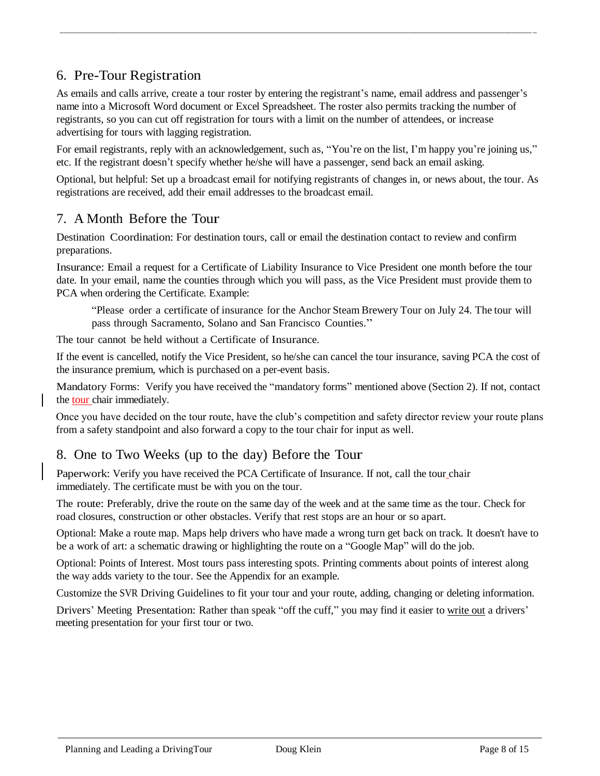## 6. Pre-Tour Registration

As emails and calls arrive, create a tour roster by entering the registrant's name, email address and passenger's name into a Microsoft Word document or Excel Spreadsheet. The roster also permits tracking the number of registrants, so you can cut off registration for tours with a limit on the number of attendees, or increase advertising for tours with lagging registration.

\_\_\_\_\_\_\_\_\_\_\_\_\_\_\_\_\_\_\_\_\_\_\_\_\_\_\_\_\_\_\_\_\_\_\_\_\_\_\_\_\_\_\_\_\_\_\_\_\_\_\_\_\_\_\_\_\_\_\_\_\_\_\_\_\_\_\_\_\_\_\_\_\_\_\_\_\_\_\_\_\_\_\_\_\_\_\_\_\_\_\_\_\_\_\_\_\_\_\_\_\_\_\_\_\_\_\_\_\_\_\_\_\_\_\_\_\_\_\_ \_

For email registrants, reply with an acknowledgement, such as, "You're on the list, I'm happy you're joining us," etc. If the registrant doesn't specify whether he/she will have a passenger, send back an email asking.

Optional, but helpful: Set up a broadcast email for notifying registrants of changes in, or news about, the tour. As registrations are received, add their email addresses to the broadcast email.

## 7. A Month Before the Tour

Destination Coordination: For destination tours, call or email the destination contact to review and confirm preparations.

Insurance: Email a request for a Certificate of Liability Insurance to Vice President one month before the tour date. In your email, name the counties through which you will pass, as the Vice President must provide them to PCA when ordering the Certificate. Example:

"Please order a certificate of insurance for the Anchor Steam Brewery Tour on July 24. The tour will pass through Sacramento, Solano and San Francisco Counties."

The tour cannot be held without a Certificate of Insurance.

If the event is cancelled, notify the Vice President, so he/she can cancel the tour insurance, saving PCA the cost of the insurance premium, which is purchased on a per-event basis.

Mandatory Forms: Verify you have received the "mandatory forms" mentioned above (Section 2). If not, contact the tour chair immediately.

Once you have decided on the tour route, have the club's competition and safety director review your route plans from a safety standpoint and also forward a copy to the tour chair for input as well.

## 8. One to Two Weeks (up to the day) Before the Tour

Paperwork: Verify you have received the PCA Certificate of Insurance. If not, call the tour chair immediately. The certificate must be with you on the tour.

The route: Preferably, drive the route on the same day of the week and at the same time as the tour. Check for road closures, construction or other obstacles. Verify that rest stops are an hour or so apart.

Optional: Make a route map. Maps help drivers who have made a wrong turn get back on track. It doesn't have to be a work of art: a schematic drawing or highlighting the route on a "Google Map" will do the job.

Optional: Points of Interest. Most tours pass interesting spots. Printing comments about points of interest along the way adds variety to the tour. See the Appendix for an example.

Customize the SVR Driving Guidelines to fit your tour and your route, adding, changing or deleting information.

Drivers' Meeting Presentation: Rather than speak "off the cuff," you may find it easier to write out a drivers' meeting presentation for your first tour or two.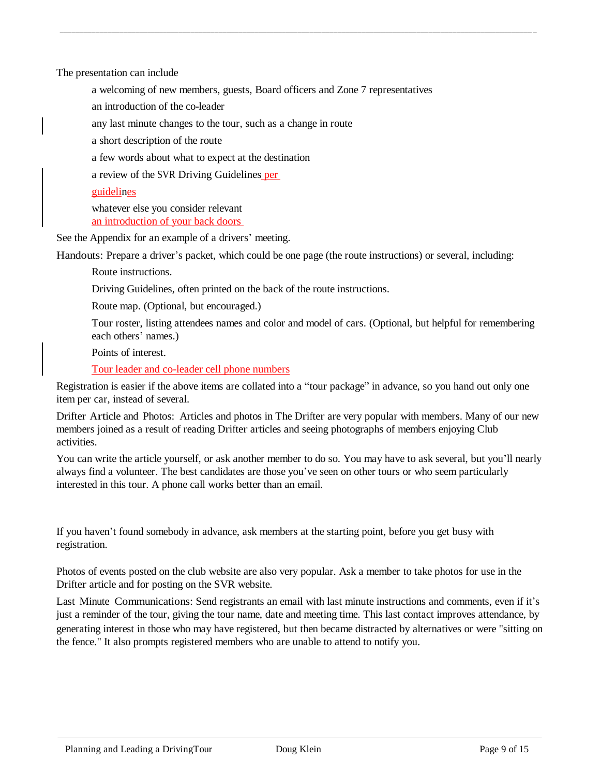The presentation can include

a welcoming of new members, guests, Board officers and Zone 7 representatives

\_\_\_\_\_\_\_\_\_\_\_\_\_\_\_\_\_\_\_\_\_\_\_\_\_\_\_\_\_\_\_\_\_\_\_\_\_\_\_\_\_\_\_\_\_\_\_\_\_\_\_\_\_\_\_\_\_\_\_\_\_\_\_\_\_\_\_\_\_\_\_\_\_\_\_\_\_\_\_\_\_\_\_\_\_\_\_\_\_\_\_\_\_\_\_\_\_\_\_\_\_\_\_\_\_\_\_\_\_\_\_\_\_\_\_\_\_\_\_ \_

an introduction of the co-leader

any last minute changes to the tour, such as a change in route

a short description of the route

a few words about what to expect at the destination

a review of the SVR Driving Guidelines per

#### guidelines

whatever else you consider relevant an introduction of your back doors

See the Appendix for an example of a drivers' meeting.

Handouts: Prepare a driver's packet, which could be one page (the route instructions) or several, including:

Route instructions.

Driving Guidelines, often printed on the back of the route instructions.

Route map. (Optional, but encouraged.)

Tour roster, listing attendees names and color and model of cars. (Optional, but helpful for remembering each others' names.)

Points of interest.

Tour leader and co-leader cell phone numbers

Registration is easier if the above items are collated into a "tour package" in advance, so you hand out only one item per car, instead of several.

Drifter Article and Photos: Articles and photos in The Drifter are very popular with members. Many of our new members joined as a result of reading Drifter articles and seeing photographs of members enjoying Club activities.

You can write the article yourself, or ask another member to do so. You may have to ask several, but you'll nearly always find a volunteer. The best candidates are those you've seen on other tours or who seem particularly interested in this tour. A phone call works better than an email.

If you haven't found somebody in advance, ask members at the starting point, before you get busy with registration.

Photos of events posted on the club website are also very popular. Ask a member to take photos for use in the Drifter article and for posting on the SVR website.

Last Minute Communications: Send registrants an email with last minute instructions and comments, even if it's just a reminder of the tour, giving the tour name, date and meeting time. This last contact improves attendance, by generating interest in those who may have registered, but then became distracted by alternatives or were "sitting on the fence." It also prompts registered members who are unable to attend to notify you.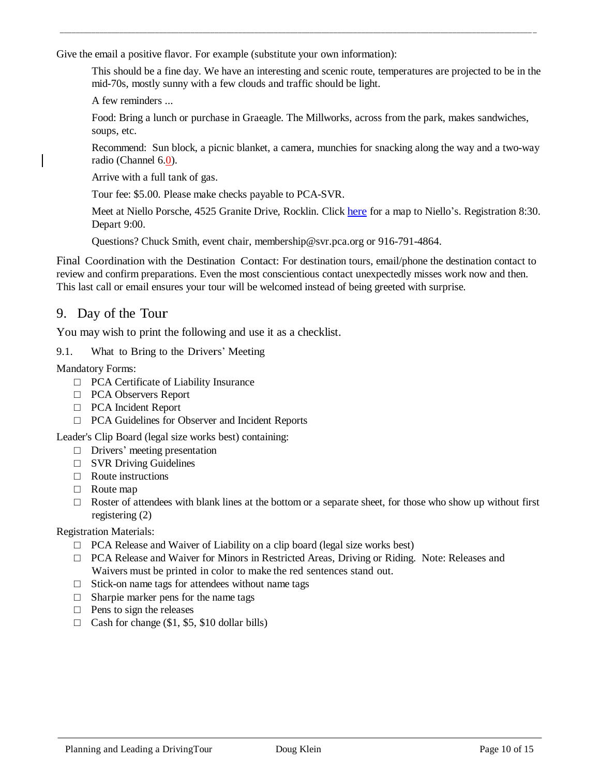Give the email a positive flavor. For example (substitute your own information):

This should be a fine day. We have an interesting and scenic route, temperatures are projected to be in the mid-70s, mostly sunny with a few clouds and traffic should be light.

\_\_\_\_\_\_\_\_\_\_\_\_\_\_\_\_\_\_\_\_\_\_\_\_\_\_\_\_\_\_\_\_\_\_\_\_\_\_\_\_\_\_\_\_\_\_\_\_\_\_\_\_\_\_\_\_\_\_\_\_\_\_\_\_\_\_\_\_\_\_\_\_\_\_\_\_\_\_\_\_\_\_\_\_\_\_\_\_\_\_\_\_\_\_\_\_\_\_\_\_\_\_\_\_\_\_\_\_\_\_\_\_\_\_\_\_\_\_\_ \_

A few reminders ...

Food: Bring a lunch or purchase in Graeagle. The Millworks, across from the park, makes sandwiches, soups, etc.

Recommend: Sun block, a picnic blanket, a camera, munchies for snacking along the way and a two-way radio (Channel 6.0).

Arrive with a full tank of gas.

Tour fee: \$5.00. Please make checks payable to PCA-SVR.

Meet at Niello Porsche, 4525 Granite Drive, Rocklin. Click here for a map to Niello's. Registration 8:30. Depart 9:00.

Questions? Chuck Smith, event chair, [membership@svr.pca.org](mailto:membership@svr.pca.org) or 916-791-4864.

Final Coordination with the Destination Contact: For destination tours, email/phone the destination contact to review and confirm preparations. Even the most conscientious contact unexpectedly misses work now and then. This last call or email ensures your tour will be welcomed instead of being greeted with surprise.

### 9. Day of the Tour

You may wish to print the following and use it as a checklist.

9.1. What to Bring to the Drivers' Meeting

Mandatory Forms:

- □ PCA Certificate of Liability Insurance
- □ PCA Observers Report
- □ PCA Incident Report
- □ PCA Guidelines for Observer and Incident Reports

Leader's Clip Board (legal size works best) containing:

- □ Drivers' meeting presentation
- $\Box$  SVR Driving Guidelines
- $\Box$  Route instructions
- □ Route map
- $\Box$  Roster of attendees with blank lines at the bottom or a separate sheet, for those who show up without first registering (2)

Registration Materials:

- $\Box$  PCA Release and Waiver of Liability on a clip board (legal size works best)
- □ PCA Release and Waiver for Minors in Restricted Areas, Driving or Riding. Note: Releases and Waivers must be printed in color to make the red sentences stand out.
- $\Box$  Stick-on name tags for attendees without name tags
- $\Box$  Sharpie marker pens for the name tags
- $\Box$  Pens to sign the releases
- $\Box$  Cash for change (\$1, \$5, \$10 dollar bills)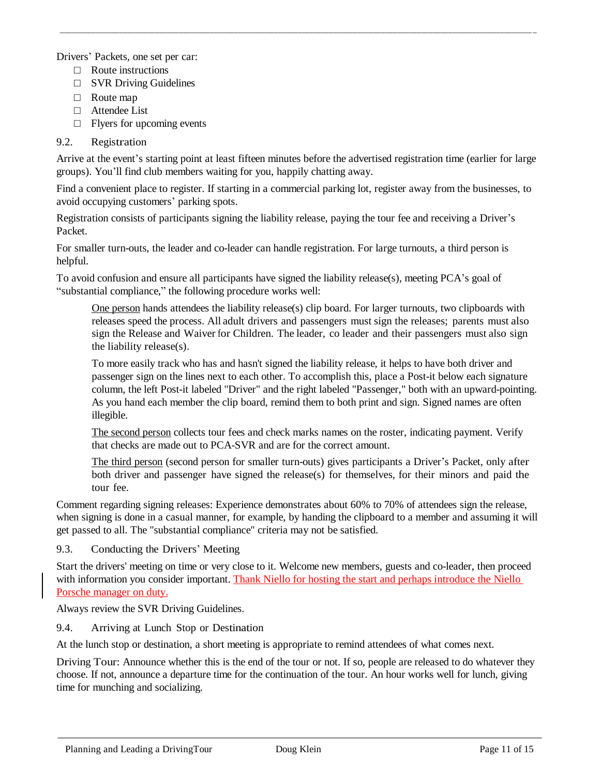Drivers' Packets, one set per car:

- □ Route instructions
- $\Box$  SVR Driving Guidelines
- □ Route map
- □ Attendee List
- □ Flyers for upcoming events

#### 9.2. Registration

Arrive at the event's starting point at least fifteen minutes before the advertised registration time (earlier for large groups). You'll find club members waiting for you, happily chatting away.

\_\_\_\_\_\_\_\_\_\_\_\_\_\_\_\_\_\_\_\_\_\_\_\_\_\_\_\_\_\_\_\_\_\_\_\_\_\_\_\_\_\_\_\_\_\_\_\_\_\_\_\_\_\_\_\_\_\_\_\_\_\_\_\_\_\_\_\_\_\_\_\_\_\_\_\_\_\_\_\_\_\_\_\_\_\_\_\_\_\_\_\_\_\_\_\_\_\_\_\_\_\_\_\_\_\_\_\_\_\_\_\_\_\_\_\_\_\_\_ \_

Find a convenient place to register. If starting in a commercial parking lot, register away from the businesses, to avoid occupying customers' parking spots.

Registration consists of participants signing the liability release, paying the tour fee and receiving a Driver's Packet.

For smaller turn-outs, the leader and co-leader can handle registration. For large turnouts, a third person is helpful.

To avoid confusion and ensure all participants have signed the liability release(s), meeting PCA's goal of "substantial compliance," the following procedure works well:

One person hands attendees the liability release(s) clip board. For larger turnouts, two clipboards with releases speed the process. All adult drivers and passengers must sign the releases; parents must also sign the Release and Waiver for Children. The leader, co leader and their passengers must also sign the liability release(s).

To more easily track who has and hasn't signed the liability release, it helps to have both driver and passenger sign on the lines next to each other. To accomplish this, place a Post-it below each signature column, the left Post-it labeled "Driver" and the right labeled "Passenger," both with an upward-pointing. As you hand each member the clip board, remind them to both print and sign. Signed names are often illegible.

The second person collects tour fees and check marks names on the roster, indicating payment. Verify that checks are made out to PCA-SVR and are for the correct amount.

The third person (second person for smaller turn-outs) gives participants a Driver's Packet, only after both driver and passenger have signed the release(s) for themselves, for their minors and paid the tour fee.

Comment regarding signing releases: Experience demonstrates about 60% to 70% of attendees sign the release, when signing is done in a casual manner, for example, by handing the clipboard to a member and assuming it will get passed to all. The "substantial compliance" criteria may not be satisfied.

9.3. Conducting the Drivers' Meeting

Start the drivers' meeting on time or very close to it. Welcome new members, guests and co-leader, then proceed with information you consider important. Thank Niello for hosting the start and perhaps introduce the Niello Porsche manager on duty.

Always review the SVR Driving Guidelines.

9.4. Arriving at Lunch Stop or Destination

At the lunch stop or destination, a short meeting is appropriate to remind attendees of what comes next.

Driving Tour: Announce whether this is the end of the tour or not. If so, people are released to do whatever they choose. If not, announce a departure time for the continuation of the tour. An hour works well for lunch, giving time for munching and socializing.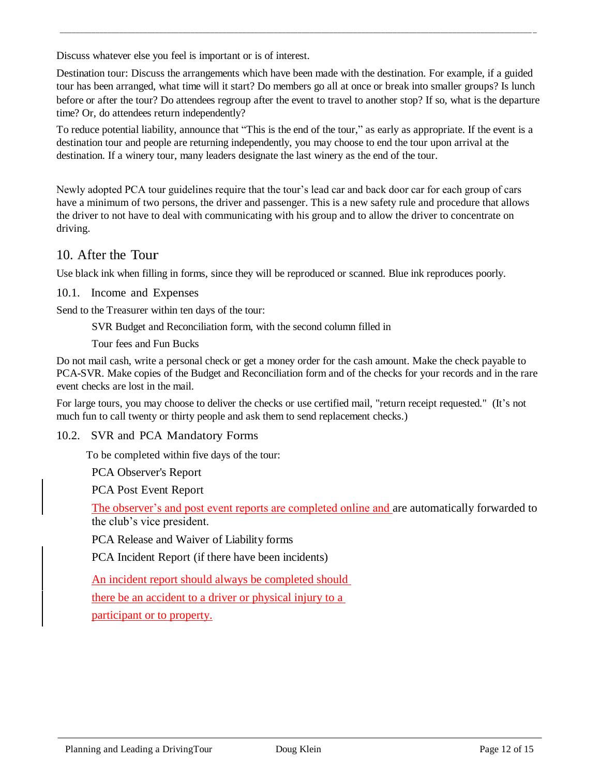Discuss whatever else you feel is important or is of interest.

Destination tour: Discuss the arrangements which have been made with the destination. For example, if a guided tour has been arranged, what time will it start? Do members go all at once or break into smaller groups? Is lunch before or after the tour? Do attendees regroup after the event to travel to another stop? If so, what is the departure time? Or, do attendees return independently?

\_\_\_\_\_\_\_\_\_\_\_\_\_\_\_\_\_\_\_\_\_\_\_\_\_\_\_\_\_\_\_\_\_\_\_\_\_\_\_\_\_\_\_\_\_\_\_\_\_\_\_\_\_\_\_\_\_\_\_\_\_\_\_\_\_\_\_\_\_\_\_\_\_\_\_\_\_\_\_\_\_\_\_\_\_\_\_\_\_\_\_\_\_\_\_\_\_\_\_\_\_\_\_\_\_\_\_\_\_\_\_\_\_\_\_\_\_\_\_ \_

To reduce potential liability, announce that "This is the end of the tour," as early as appropriate. If the event is a destination tour and people are returning independently, you may choose to end the tour upon arrival at the destination. If a winery tour, many leaders designate the last winery as the end of the tour.

Newly adopted PCA tour guidelines require that the tour's lead car and back door car for each group of cars have a minimum of two persons, the driver and passenger. This is a new safety rule and procedure that allows the driver to not have to deal with communicating with his group and to allow the driver to concentrate on driving.

## 10. After the Tour

Use black ink when filling in forms, since they will be reproduced or scanned. Blue ink reproduces poorly.

#### 10.1. Income and Expenses

Send to the Treasurer within ten days of the tour:

SVR Budget and Reconciliation form, with the second column filled in

Tour fees and Fun Bucks

Do not mail cash, write a personal check or get a money order for the cash amount. Make the check payable to PCA-SVR. Make copies of the Budget and Reconciliation form and of the checks for your records and in the rare event checks are lost in the mail.

For large tours, you may choose to deliver the checks or use certified mail, "return receipt requested." (It's not much fun to call twenty or thirty people and ask them to send replacement checks.)

### 10.2. SVR and PCA Mandatory Forms

To be completed within five days of the tour:

PCA Observer's Report

PCA Post Event Report

The observer's and post event reports are completed online and are automatically forwarded to the club's vice president.

PCA Release and Waiver of Liability forms

PCA Incident Report (if there have been incidents)

An incident report should always be completed should

there be an accident to a driver or physical injury to a

participant or to property.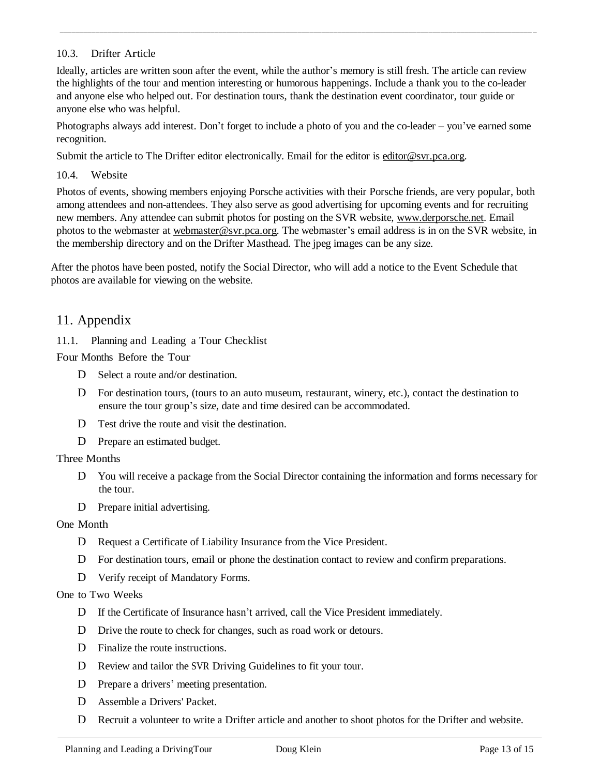#### 10.3. Drifter Article

Ideally, articles are written soon after the event, while the author's memory is still fresh. The article can review the highlights of the tour and mention interesting or humorous happenings. Include a thank you to the co-leader and anyone else who helped out. For destination tours, thank the destination event coordinator, tour guide or anyone else who was helpful.

\_\_\_\_\_\_\_\_\_\_\_\_\_\_\_\_\_\_\_\_\_\_\_\_\_\_\_\_\_\_\_\_\_\_\_\_\_\_\_\_\_\_\_\_\_\_\_\_\_\_\_\_\_\_\_\_\_\_\_\_\_\_\_\_\_\_\_\_\_\_\_\_\_\_\_\_\_\_\_\_\_\_\_\_\_\_\_\_\_\_\_\_\_\_\_\_\_\_\_\_\_\_\_\_\_\_\_\_\_\_\_\_\_\_\_\_\_\_\_ \_

Photographs always add interest. Don't forget to include a photo of you and the co-leader – you've earned some recognition.

Submit the article to The Drifter editor electronically. Email for the editor is [editor@svr.pca.org.](mailto:editor@svr.pca.org)

10.4. Website

Photos of events, showing members enjoying Porsche activities with their Porsche friends, are very popular, both among attendees and non-attendees. They also serve as good advertising for upcoming events and for recruiting new members. Any attendee can submit photos for posting on the SVR website, [www.derporsche.net.](http://www.derporsche.net/) Email photos to the webmaster at [webmaster@svr.pca.org.](mailto:webmaster@svr.pca.org) The webmaster's email address is in on the SVR website, in the membership directory and on the Drifter Masthead. The jpeg images can be any size.

After the photos have been posted, notify the Social Director, who will add a notice to the Event Schedule that photos are available for viewing on the website.

## 11. Appendix

11.1. Planning and Leading a Tour Checklist

Four Months Before the Tour

- D Select a route and/or destination.
- D For destination tours, (tours to an auto museum, restaurant, winery, etc.), contact the destination to ensure the tour group's size, date and time desired can be accommodated.
- D Test drive the route and visit the destination.
- D Prepare an estimated budget.

### Three Months

- D You will receive a package from the Social Director containing the information and forms necessary for the tour.
- D Prepare initial advertising.

### One Month

- D Request a Certificate of Liability Insurance from the Vice President.
- D For destination tours, email or phone the destination contact to review and confirm preparations.
- D Verify receipt of Mandatory Forms.

### One to Two Weeks

- D If the Certificate of Insurance hasn't arrived, call the Vice President immediately.
- D Drive the route to check for changes, such as road work or detours.
- D Finalize the route instructions.
- D Review and tailor the SVR Driving Guidelines to fit your tour.
- D Prepare a drivers' meeting presentation.
- D Assemble a Drivers' Packet.
- D Recruit a volunteer to write a Drifter article and another to shoot photos for the Drifter and website.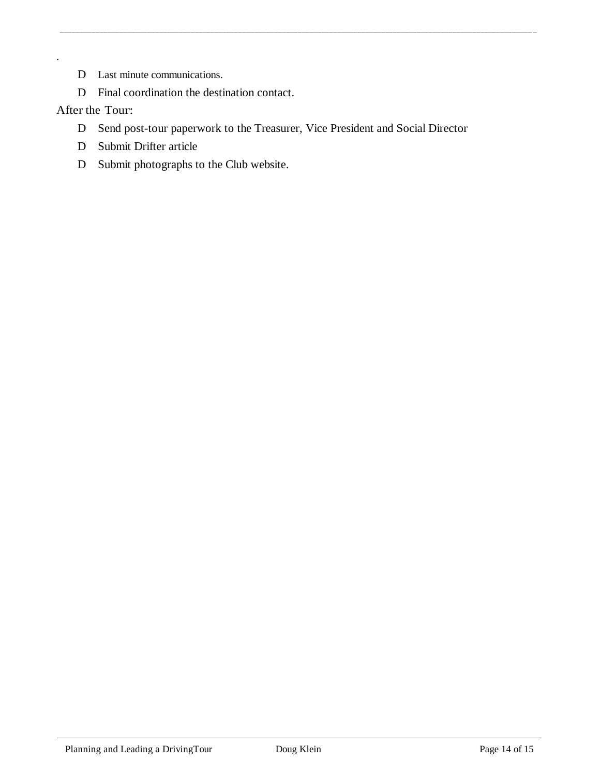- D Last minute communications.
- D Final coordination the destination contact.

### After the Tour:

.

D Send post-tour paperwork to the Treasurer, Vice President and Social Director

\_\_\_\_\_\_\_\_\_\_\_\_\_\_\_\_\_\_\_\_\_\_\_\_\_\_\_\_\_\_\_\_\_\_\_\_\_\_\_\_\_\_\_\_\_\_\_\_\_\_\_\_\_\_\_\_\_\_\_\_\_\_\_\_\_\_\_\_\_\_\_\_\_\_\_\_\_\_\_\_\_\_\_\_\_\_\_\_\_\_\_\_\_\_\_\_\_\_\_\_\_\_\_\_\_\_\_\_\_\_\_\_\_\_\_\_\_\_\_ \_

- D Submit Drifter article
- D Submit photographs to the Club website.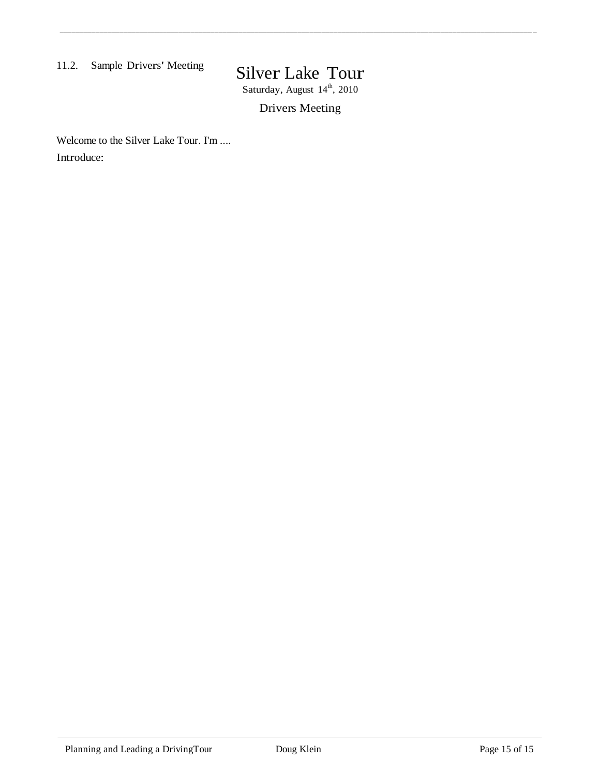### 11.2. Sample Drivers' Meeting

# Silver Lake Tour

\_\_\_\_\_\_\_\_\_\_\_\_\_\_\_\_\_\_\_\_\_\_\_\_\_\_\_\_\_\_\_\_\_\_\_\_\_\_\_\_\_\_\_\_\_\_\_\_\_\_\_\_\_\_\_\_\_\_\_\_\_\_\_\_\_\_\_\_\_\_\_\_\_\_\_\_\_\_\_\_\_\_\_\_\_\_\_\_\_\_\_\_\_\_\_\_\_\_\_\_\_\_\_\_\_\_\_\_\_\_\_\_\_\_\_\_\_\_\_ \_

Saturday, August 14<sup>th</sup>, 2010

Drivers Meeting

Welcome to the Silver Lake Tour. I'm .... Introduce: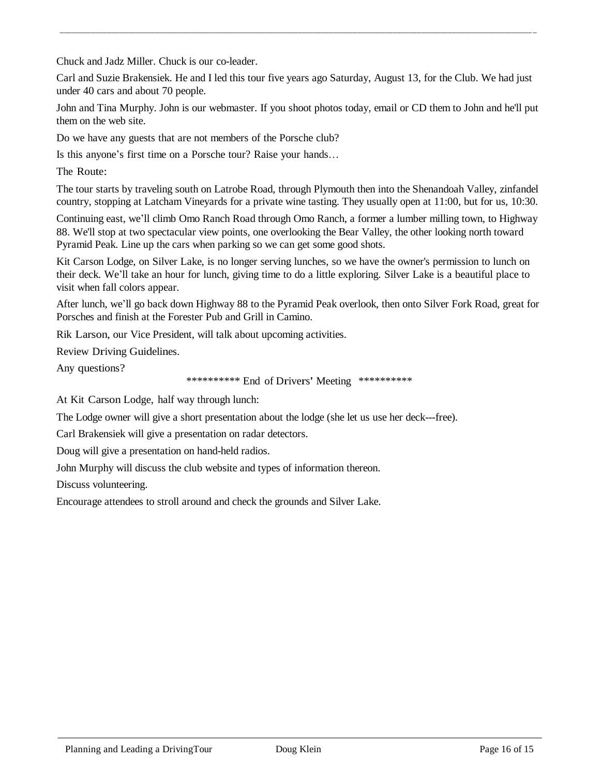Chuck and Jadz Miller. Chuck is our co-leader.

Carl and Suzie Brakensiek. He and I led this tour five years ago Saturday, August 13, for the Club. We had just under 40 cars and about 70 people.

\_\_\_\_\_\_\_\_\_\_\_\_\_\_\_\_\_\_\_\_\_\_\_\_\_\_\_\_\_\_\_\_\_\_\_\_\_\_\_\_\_\_\_\_\_\_\_\_\_\_\_\_\_\_\_\_\_\_\_\_\_\_\_\_\_\_\_\_\_\_\_\_\_\_\_\_\_\_\_\_\_\_\_\_\_\_\_\_\_\_\_\_\_\_\_\_\_\_\_\_\_\_\_\_\_\_\_\_\_\_\_\_\_\_\_\_\_\_\_ \_

John and Tina Murphy. John is our webmaster. If you shoot photos today, email or CD them to John and he'll put them on the web site.

Do we have any guests that are not members of the Porsche club?

Is this anyone's first time on a Porsche tour? Raise your hands…

The Route:

The tour starts by traveling south on Latrobe Road, through Plymouth then into the Shenandoah Valley, zinfandel country, stopping at Latcham Vineyards for a private wine tasting. They usually open at 11:00, but for us, 10:30.

Continuing east, we'll climb Omo Ranch Road through Omo Ranch, a former a lumber milling town, to Highway 88. We'll stop at two spectacular view points, one overlooking the Bear Valley, the other looking north toward Pyramid Peak. Line up the cars when parking so we can get some good shots.

Kit Carson Lodge, on Silver Lake, is no longer serving lunches, so we have the owner's permission to lunch on their deck. We'll take an hour for lunch, giving time to do a little exploring. Silver Lake is a beautiful place to visit when fall colors appear.

After lunch, we'll go back down Highway 88 to the Pyramid Peak overlook, then onto Silver Fork Road, great for Porsches and finish at the Forester Pub and Grill in Camino.

Rik Larson, our Vice President, will talk about upcoming activities.

Review Driving Guidelines.

Any questions?

\*\*\*\*\*\*\*\*\*\* End of Drivers' Meeting \*\*\*\*\*\*\*\*\*\*

At Kit Carson Lodge, half way through lunch:

The Lodge owner will give a short presentation about the lodge (she let us use her deck---free).

Carl Brakensiek will give a presentation on radar detectors.

Doug will give a presentation on hand-held radios.

John Murphy will discuss the club website and types of information thereon.

Discuss volunteering.

Encourage attendees to stroll around and check the grounds and Silver Lake.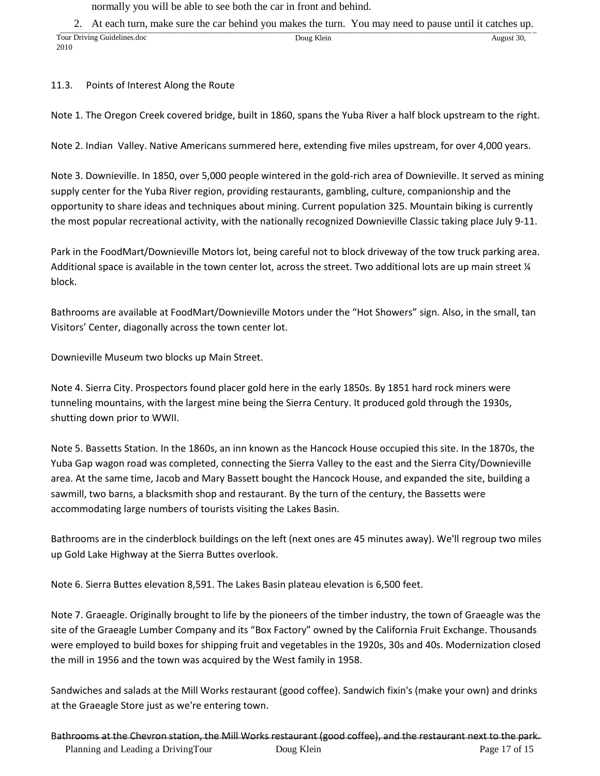normally you will be able to see both the car in front and behind.

2. At each turn, make sure the car behind you makes the turn. You may need to pause until it catches up.

| Tour Driving C<br>Guidelines.doc | Doug Klein | August 30, |
|----------------------------------|------------|------------|
| 2010                             |            |            |

#### 11.3. Points of Interest Along the Route

Note 1. The Oregon Creek covered bridge, built in 1860, spans the Yuba River a half block upstream to the right.

Note 2. Indian Valley. Native Americans summered here, extending five miles upstream, for over 4,000 years.

Note 3. Downieville. In 1850, over 5,000 people wintered in the gold-rich area of Downieville. It served as mining supply center for the Yuba River region, providing restaurants, gambling, culture, companionship and the opportunity to share ideas and techniques about mining. Current population 325. Mountain biking is currently the most popular recreational activity, with the nationally recognized Downieville Classic taking place July 9-11.

Park in the FoodMart/Downieville Motors lot, being careful not to block driveway of the tow truck parking area. Additional space is available in the town center lot, across the street. Two additional lots are up main street  $\frac{1}{4}$ block.

Bathrooms are available at FoodMart/Downieville Motors under the "Hot Showers" sign. Also, in the small, tan Visitors' Center, diagonally across the town center lot.

Downieville Museum two blocks up Main Street.

Note 4. Sierra City. Prospectors found placer gold here in the early 1850s. By 1851 hard rock miners were tunneling mountains, with the largest mine being the Sierra Century. It produced gold through the 1930s, shutting down prior to WWII.

Note 5. Bassetts Station. In the 1860s, an inn known as the Hancock House occupied this site. In the 1870s, the Yuba Gap wagon road was completed, connecting the Sierra Valley to the east and the Sierra City/Downieville area. At the same time, Jacob and Mary Bassett bought the Hancock House, and expanded the site, building a sawmill, two barns, a blacksmith shop and restaurant. By the turn of the century, the Bassetts were accommodating large numbers of tourists visiting the Lakes Basin.

Bathrooms are in the cinderblock buildings on the left (next ones are 45 minutes away). We'll regroup two miles up Gold Lake Highway at the Sierra Buttes overlook.

Note 6. Sierra Buttes elevation 8,591. The Lakes Basin plateau elevation is 6,500 feet.

Note 7. Graeagle. Originally brought to life by the pioneers of the timber industry, the town of Graeagle was the site of the Graeagle Lumber Company and its "Box Factory" owned by the California Fruit Exchange. Thousands were employed to build boxes for shipping fruit and vegetables in the 1920s, 30s and 40s. Modernization closed the mill in 1956 and the town was acquired by the West family in 1958.

Sandwiches and salads at the Mill Works restaurant (good coffee). Sandwich fixin's (make your own) and drinks at the Graeagle Store just as we're entering town.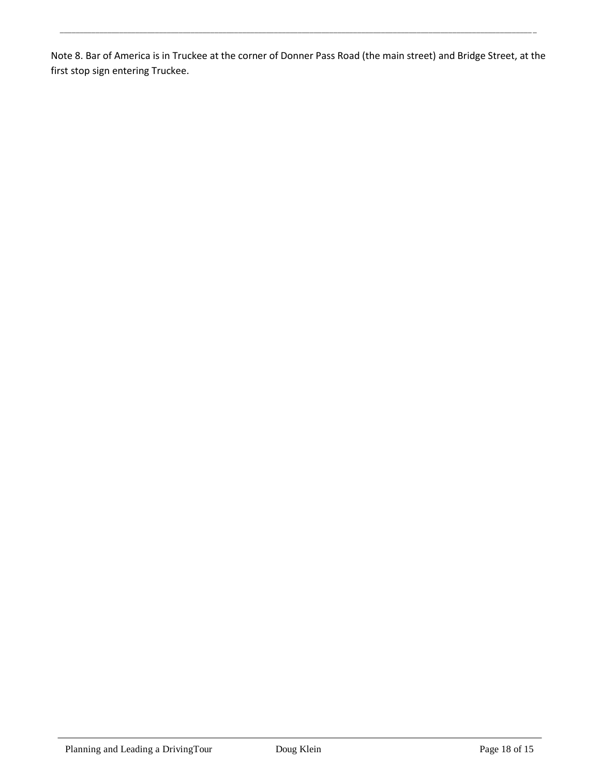Note 8. Bar of America is in Truckee at the corner of Donner Pass Road (the main street) and Bridge Street, at the first stop sign entering Truckee.

\_\_\_\_\_\_\_\_\_\_\_\_\_\_\_\_\_\_\_\_\_\_\_\_\_\_\_\_\_\_\_\_\_\_\_\_\_\_\_\_\_\_\_\_\_\_\_\_\_\_\_\_\_\_\_\_\_\_\_\_\_\_\_\_\_\_\_\_\_\_\_\_\_\_\_\_\_\_\_\_\_\_\_\_\_\_\_\_\_\_\_\_\_\_\_\_\_\_\_\_\_\_\_\_\_\_\_\_\_\_\_\_\_\_\_\_\_\_\_ \_